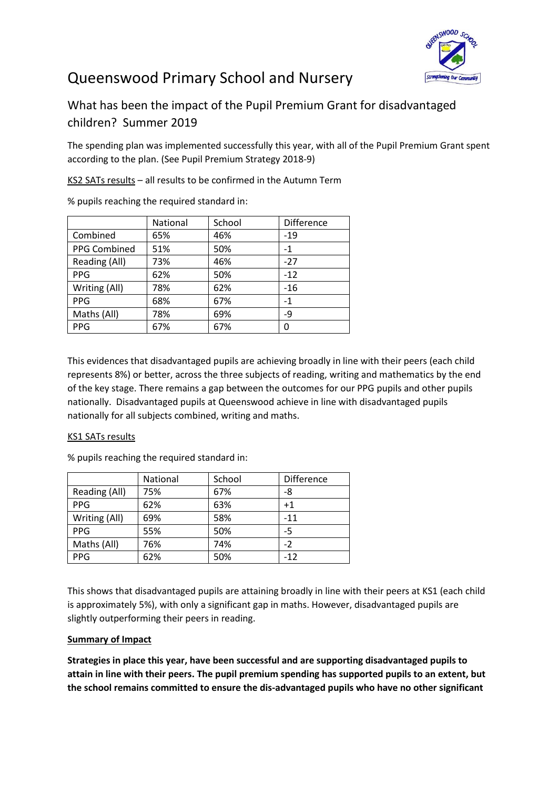

## Queenswood Primary School and Nursery

## What has been the impact of the Pupil Premium Grant for disadvantaged children? Summer 2019

The spending plan was implemented successfully this year, with all of the Pupil Premium Grant spent according to the plan. (See Pupil Premium Strategy 2018-9)

KS2 SATs results – all results to be confirmed in the Autumn Term

|               | National | School | <b>Difference</b> |
|---------------|----------|--------|-------------------|
| Combined      | 65%      | 46%    | $-19$             |
| PPG Combined  | 51%      | 50%    | $-1$              |
| Reading (All) | 73%      | 46%    | $-27$             |
| <b>PPG</b>    | 62%      | 50%    | $-12$             |
| Writing (All) | 78%      | 62%    | $-16$             |
| <b>PPG</b>    | 68%      | 67%    | $-1$              |
| Maths (All)   | 78%      | 69%    | -9                |
| <b>PPG</b>    | 67%      | 67%    | 0                 |

% pupils reaching the required standard in:

This evidences that disadvantaged pupils are achieving broadly in line with their peers (each child represents 8%) or better, across the three subjects of reading, writing and mathematics by the end of the key stage. There remains a gap between the outcomes for our PPG pupils and other pupils nationally. Disadvantaged pupils at Queenswood achieve in line with disadvantaged pupils nationally for all subjects combined, writing and maths.

## KS1 SATs results

% pupils reaching the required standard in:

|               | National | School | <b>Difference</b> |
|---------------|----------|--------|-------------------|
| Reading (All) | 75%      | 67%    | -8                |
| <b>PPG</b>    | 62%      | 63%    | $+1$              |
| Writing (All) | 69%      | 58%    | $-11$             |
| <b>PPG</b>    | 55%      | 50%    | -5                |
| Maths (All)   | 76%      | 74%    | $-2$              |
| <b>PPG</b>    | 62%      | 50%    | $-12$             |

This shows that disadvantaged pupils are attaining broadly in line with their peers at KS1 (each child is approximately 5%), with only a significant gap in maths. However, disadvantaged pupils are slightly outperforming their peers in reading.

## **Summary of Impact**

**Strategies in place this year, have been successful and are supporting disadvantaged pupils to attain in line with their peers. The pupil premium spending has supported pupils to an extent, but the school remains committed to ensure the dis-advantaged pupils who have no other significant**